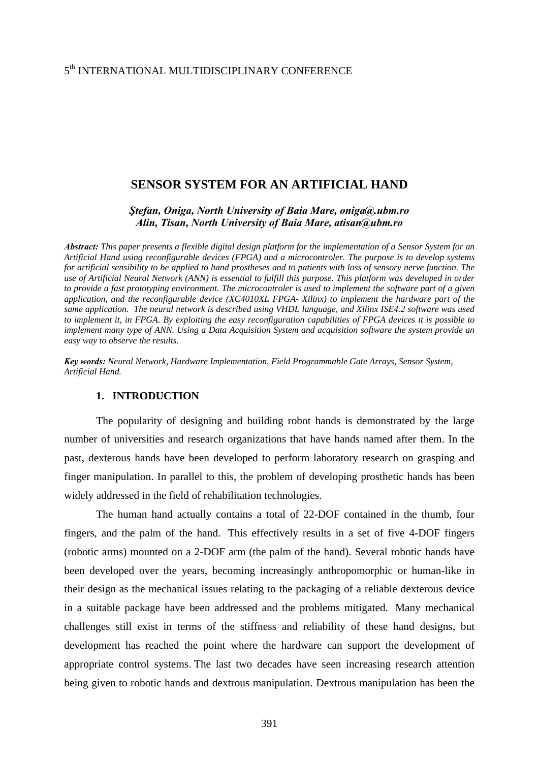# 5th INTERNATIONAL MULTIDISCIPLINARY CONFERENCE

## **SENSOR SYSTEM FOR AN ARTIFICIAL HAND**

*Ştefan, Oniga, North University of Baia Mare, oniga@.ubm.ro Alin, Tisan, North University of Baia Mare, atisan@ubm.ro*

*Abstract: This paper presents a flexible digital design platform for the implementation of a Sensor System for an Artificial Hand using reconfigurable devices (FPGA) and a microcontroler. The purpose is to develop systems for artificial sensibility to be applied to hand prostheses and to patients with loss of sensory nerve function. The use of Artificial Neural Network (ANN) is essential to fulfill this purpose. This platform was developed in order to provide a fast prototyping environment. The microcontroler is used to implement the software part of a given application, and the reconfigurable device (XC4010XL FPGA- Xilinx) to implement the hardware part of the same application. The neural network is described using VHDL language, and Xilinx ISE4.2 software was used to implement it, in FPGA. By exploiting the easy reconfiguration capabilities of FPGA devices it is possible to implement many type of ANN. Using a Data Acquisition System and acquisition software the system provide an easy way to observe the results.* 

*Key words: Neural Network, Hardware Implementation, Field Programmable Gate Arrays, Sensor System, Artificial Hand.*

#### **1. INTRODUCTION**

 The popularity of designing and building robot hands is demonstrated by the large number of universities and research organizations that have hands named after them. In the past, dexterous hands have been developed to perform laboratory research on grasping and finger manipulation. In parallel to this, the problem of developing prosthetic hands has been widely addressed in the field of rehabilitation technologies.

 The human hand actually contains a total of 22-DOF contained in the thumb, four fingers, and the palm of the hand. This effectively results in a set of five 4-DOF fingers (robotic arms) mounted on a 2-DOF arm (the palm of the hand). Several robotic hands have been developed over the years, becoming increasingly anthropomorphic or human-like in their design as the mechanical issues relating to the packaging of a reliable dexterous device in a suitable package have been addressed and the problems mitigated. Many mechanical challenges still exist in terms of the stiffness and reliability of these hand designs, but development has reached the point where the hardware can support the development of appropriate control systems. The last two decades have seen increasing research attention being given to robotic hands and dextrous manipulation. Dextrous manipulation has been the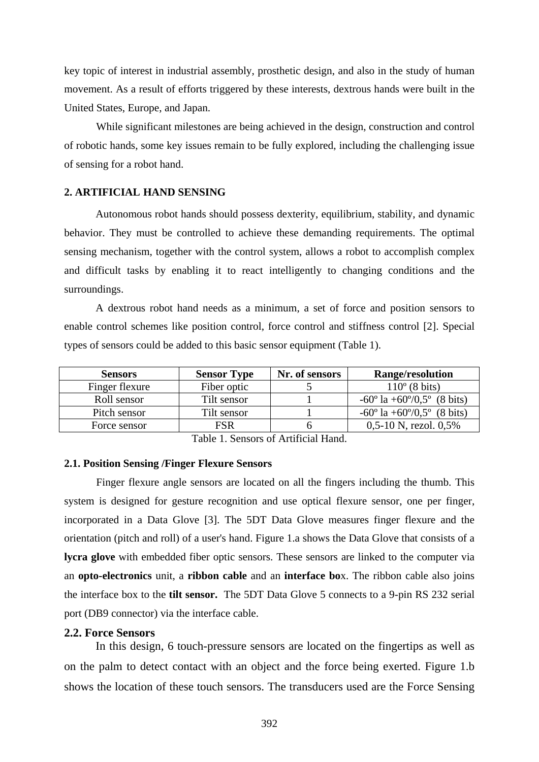key topic of interest in industrial assembly, prosthetic design, and also in the study of human movement. As a result of efforts triggered by these interests, dextrous hands were built in the United States, Europe, and Japan.

While significant milestones are being achieved in the design, construction and control of robotic hands, some key issues remain to be fully explored, including the challenging issue of sensing for a robot hand.

# **2. ARTIFICIAL HAND SENSING**

 Autonomous robot hands should possess dexterity, equilibrium, stability, and dynamic behavior. They must be controlled to achieve these demanding requirements. The optimal sensing mechanism, together with the control system, allows a robot to accomplish complex and difficult tasks by enabling it to react intelligently to changing conditions and the surroundings.

 A dextrous robot hand needs as a minimum, a set of force and position sensors to enable control schemes like position control, force control and stiffness control [2]. Special types of sensors could be added to this basic sensor equipment (Table 1).

| <b>Sensors</b> | <b>Sensor Type</b> | Nr. of sensors | <b>Range/resolution</b>                             |
|----------------|--------------------|----------------|-----------------------------------------------------|
| Finger flexure | Fiber optic        |                | $110^{\circ}$ (8 bits)                              |
| Roll sensor    | Tilt sensor        |                | $-60^{\circ}$ la $+60^{\circ}/0.5^{\circ}$ (8 bits) |
| Pitch sensor   | Tilt sensor        |                | $-60^{\circ}$ la $+60^{\circ}/0.5^{\circ}$ (8 bits) |
| Force sensor   | <b>FSR</b>         |                | $0,5-10$ N, rezol. $0,5%$                           |

Table 1. Sensors of Artificial Hand.

### **2.1. Position Sensing /Finger Flexure Sensors**

 Finger flexure angle sensors are located on all the fingers including the thumb. This system is designed for gesture recognition and use optical flexure sensor, one per finger, incorporated in a Data Glove [3]. The 5DT Data Glove measures finger flexure and the orientation (pitch and roll) of a user's hand. Figure 1.a shows the Data Glove that consists of a **lycra glove** with embedded fiber optic sensors. These sensors are linked to the computer via an **opto-electronics** unit, a **ribbon cable** and an **interface bo**x. The ribbon cable also joins the interface box to the **tilt sensor.** The 5DT Data Glove 5 connects to a 9-pin RS 232 serial port (DB9 connector) via the interface cable.

### **2.2. Force Sensors**

 In this design, 6 touch-pressure sensors are located on the fingertips as well as on the palm to detect contact with an object and the force being exerted. Figure 1.b shows the location of these touch sensors. The transducers used are the Force Sensing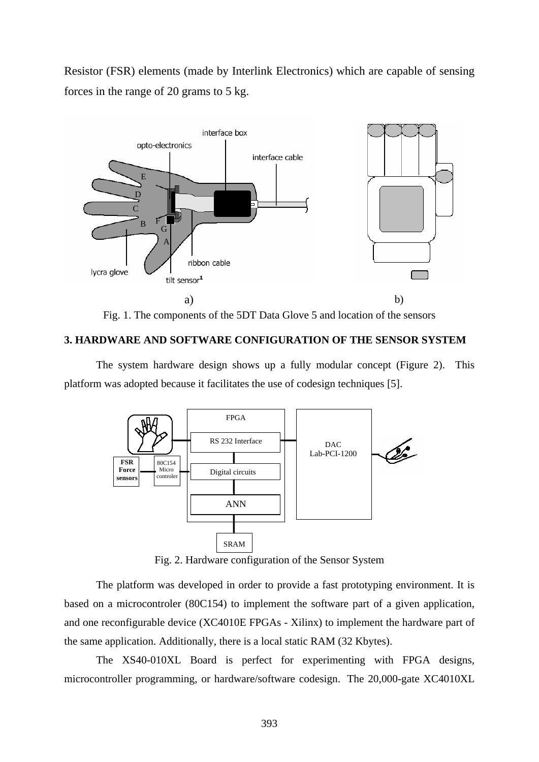Resistor (FSR) elements (made by Interlink Electronics) which are capable of sensing forces in the range of 20 grams to 5 kg.



Fig. 1. The components of the 5DT Data Glove 5 and location of the sensors

## **3. HARDWARE AND SOFTWARE CONFIGURATION OF THE SENSOR SYSTEM**

The system hardware design shows up a fully modular concept (Figure 2). This platform was adopted because it facilitates the use of codesign techniques [5].



Fig. 2. Hardware configuration of the Sensor System

The platform was developed in order to provide a fast prototyping environment. It is based on a microcontroler (80C154) to implement the software part of a given application, and one reconfigurable device (XC4010E FPGAs - Xilinx) to implement the hardware part of the same application. Additionally, there is a local static RAM (32 Kbytes).

The XS40-010XL Board is perfect for experimenting with FPGA designs, microcontroller programming, or hardware/software codesign. The 20,000-gate XC4010XL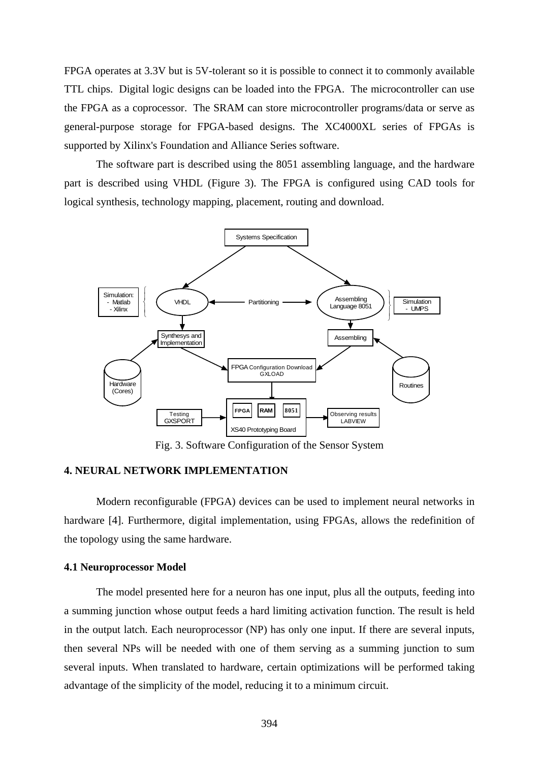FPGA operates at 3.3V but is 5V-tolerant so it is possible to connect it to commonly available TTL chips. Digital logic designs can be loaded into the FPGA. The microcontroller can use the FPGA as a coprocessor. The SRAM can store microcontroller programs/data or serve as general-purpose storage for FPGA-based designs. The XC4000XL series of FPGAs is supported by Xilinx's Foundation and Alliance Series software.

The software part is described using the 8051 assembling language, and the hardware part is described using VHDL (Figure 3). The FPGA is configured using CAD tools for logical synthesis, technology mapping, placement, routing and download.



Fig. 3. Software Configuration of the Sensor System

## **4. NEURAL NETWORK IMPLEMENTATION**

Modern reconfigurable (FPGA) devices can be used to implement neural networks in hardware [4]. Furthermore, digital implementation, using FPGAs, allows the redefinition of the topology using the same hardware.

### **4.1 Neuroprocessor Model**

The model presented here for a neuron has one input, plus all the outputs, feeding into a summing junction whose output feeds a hard limiting activation function. The result is held in the output latch. Each neuroprocessor (NP) has only one input. If there are several inputs, then several NPs will be needed with one of them serving as a summing junction to sum several inputs. When translated to hardware, certain optimizations will be performed taking advantage of the simplicity of the model, reducing it to a minimum circuit.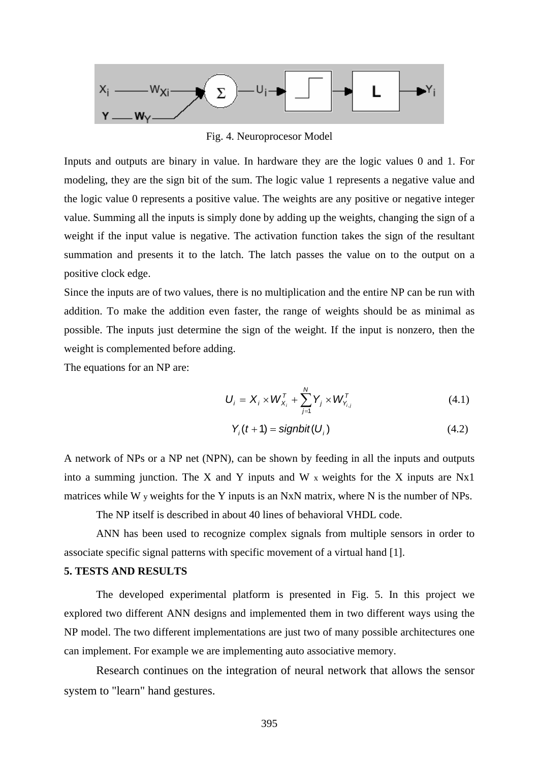

Fig. 4. Neuroprocesor Model

Inputs and outputs are binary in value. In hardware they are the logic values 0 and 1. For modeling, they are the sign bit of the sum. The logic value 1 represents a negative value and the logic value 0 represents a positive value. The weights are any positive or negative integer value. Summing all the inputs is simply done by adding up the weights, changing the sign of a weight if the input value is negative. The activation function takes the sign of the resultant summation and presents it to the latch. The latch passes the value on to the output on a positive clock edge.

Since the inputs are of two values, there is no multiplication and the entire NP can be run with addition. To make the addition even faster, the range of weights should be as minimal as possible. The inputs just determine the sign of the weight. If the input is nonzero, then the weight is complemented before adding.

The equations for an NP are:

$$
U_{i} = X_{i} \times W_{X_{i}}^{T} + \sum_{j=1}^{N} Y_{j} \times W_{Y_{i,j}}^{T}
$$
\n(4.1)

$$
Y_i(t+1) = \text{signbit}(U_i) \tag{4.2}
$$

A network of NPs or a NP net (NPN), can be shown by feeding in all the inputs and outputs into a summing junction. The X and Y inputs and W x weights for the X inputs are Nx1 matrices while W y weights for the Y inputs is an NxN matrix, where N is the number of NPs.

The NP itself is described in about 40 lines of behavioral VHDL code.

ANN has been used to recognize complex signals from multiple sensors in order to associate specific signal patterns with specific movement of a virtual hand [1].

## **5. TESTS AND RESULTS**

 The developed experimental platform is presented in Fig. 5. In this project we explored two different ANN designs and implemented them in two different ways using the NP model. The two different implementations are just two of many possible architectures one can implement. For example we are implementing auto associative memory.

Research continues on the integration of neural network that allows the sensor system to "learn" hand gestures.